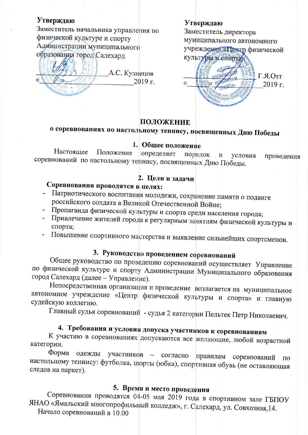### Утверждаю

Заместитель начальника управления по физической кудьтуре и спорту Администрации муниципального образования город Салехард

А.С. Кузнецов

#### Утверждаю

Заместитель директора муниципального автономного учреждения «Пентр физической культуры и спорта  $\Gamma$ .*A*.OTT  $\langle \langle$  $2019$  г.

### ПОЛОЖЕНИЕ

2019 г.

## о соревнованиях по настольному теннису, посвященных Дню Победы

#### 1. Общее положение

Настояшее Положение определяет порядок  $\overline{\mathbf{M}}$ условия проведения соревнований по настольному теннису, посвященных Дню Победы.

### 2. Цели и задачи

### Соревнования проводятся в целях:

- Патриотического воспитания молодежи, сохранение памяти о подвиге российского солдата в Великой Отечественной Войне;
- Пропаганда физической культуры и спорта среди населения города;
- Привлечение жителей города к регулярным занятиям физической культуры и спорта;
- Повышение спортивного мастерства и выявление сильнейших спортсменов.

## 3. Руководство проведением соревнований

Общее руководство по проведению соревнований осуществляет Управление по физической культуре и спорту Администрации Муниципального образования город Салехард (далее - Управление).

Непосредственная организация и проведение возлагается на муниципальное автономное учреждение «Центр физической культуры и спорта» и главную судейскую коллегию.

Главный судья соревнований - судья 2 категории Пельтек Петр Николаевич.

## 4. Требования и условия допуска участников к соревнованиям

К участию в соревнованиях допускаются все желающие, любой возрастной категории.

Форма одежды участников - согласно правилам соревнований  $\Pi$ O настольному теннису: футболка, шорты (юбка), спортивная обувь (не оставляющая следов на паркет).

### 5. Время и место проведения

Соревнования проводятся 04-05 мая 2019 года в спортивном зале ГБПОУ ЯНАО «Ямальский многопрофильный колледж», г. Салехард, ул. Совхозная, 14. Начало соревнований в 10.00